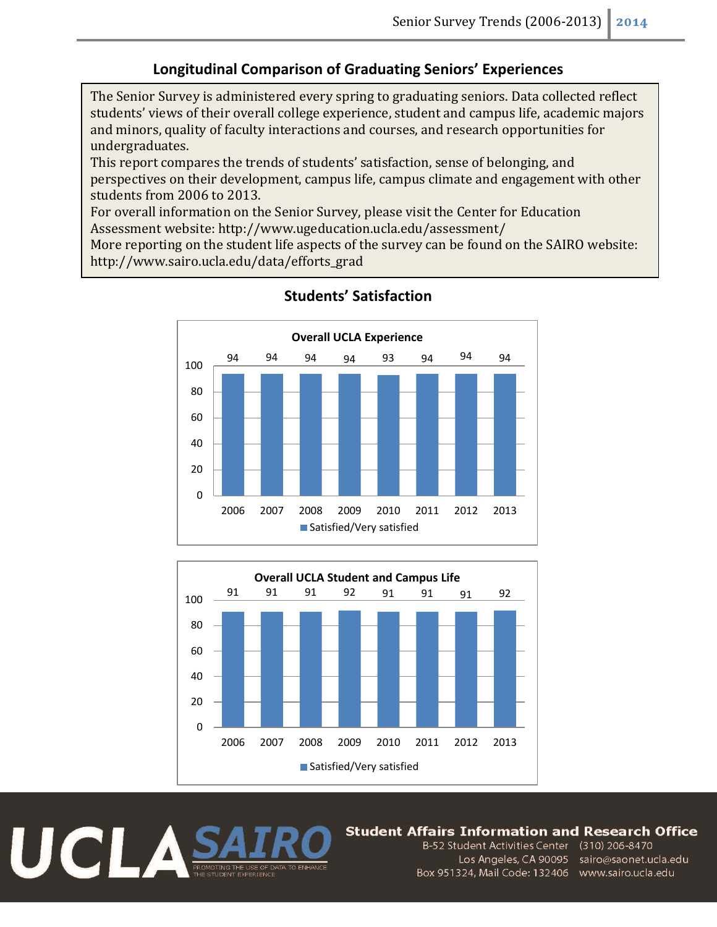## **Longitudinal Comparison of Graduating Seniors' Experiences**

The Senior Survey is administered every spring to graduating seniors. Data collected reflect students' views of their overall college experience, student and campus life, academic majors and minors, quality of faculty interactions and courses, and research opportunities for undergraduates.

This report compares the trends of students' satisfaction, sense of belonging, and perspectives on their development, campus life, campus climate and engagement with other students from 2006 to 2013.

For overall information on the Senior Survey, please visit the Center for Education Assessment website: http://www.ugeducation.ucla.edu/assessment/

More reporting on the student life aspects of the survey can be found on the SAIRO website: http://www.sairo.ucla.edu/data/efforts\_grad



# **Students' Satisfaction**





#### Student Affairs Information and Research Office

B-52 Student Activities Center (310) 206-8470 Los Angeles, CA 90095 sairo@saonet.ucla.edu Box 951324, Mail Code: 132406 www.sairo.ucla.edu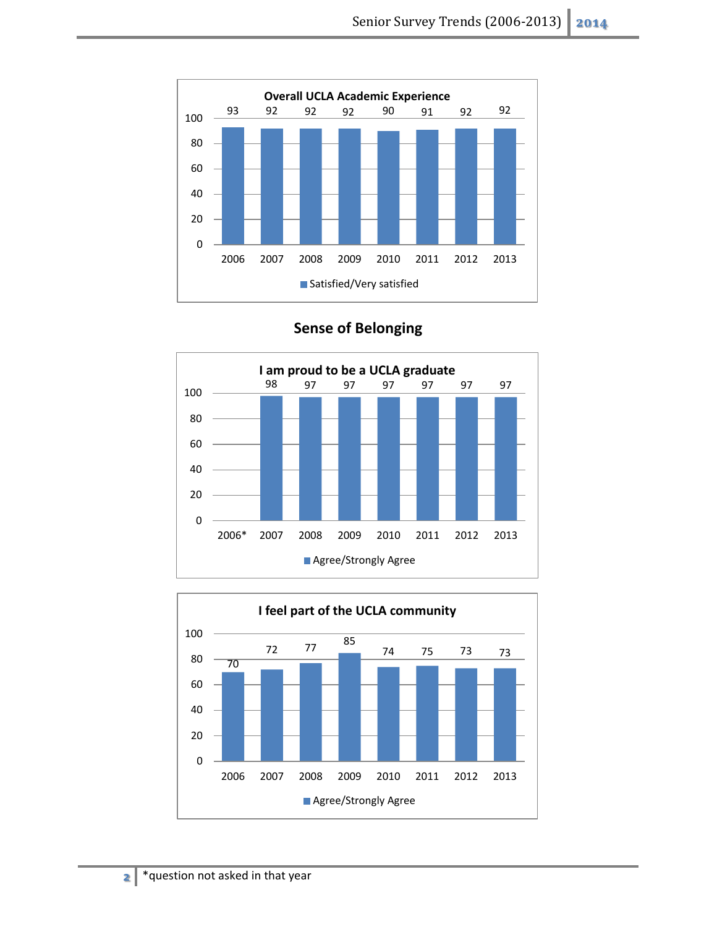



**Sense of Belonging**

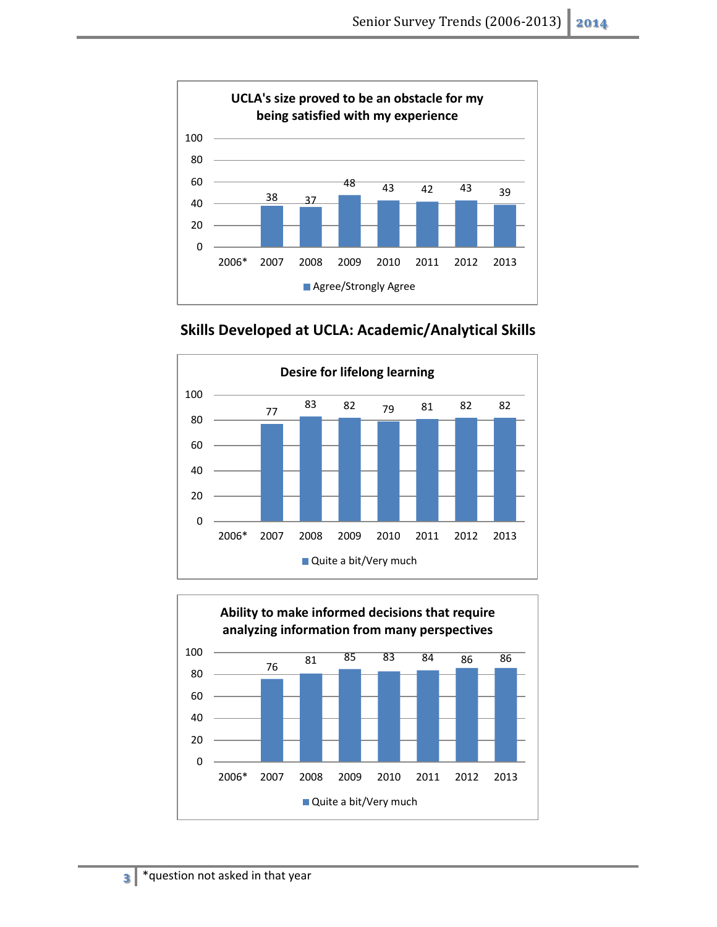

**Skills Developed at UCLA: Academic/Analytical Skills**



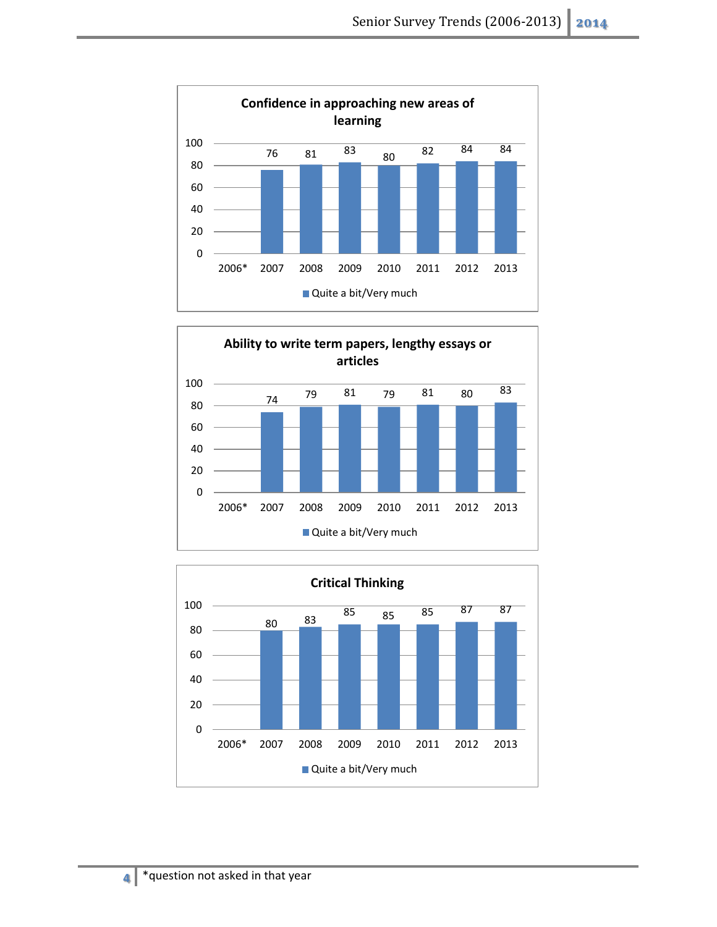



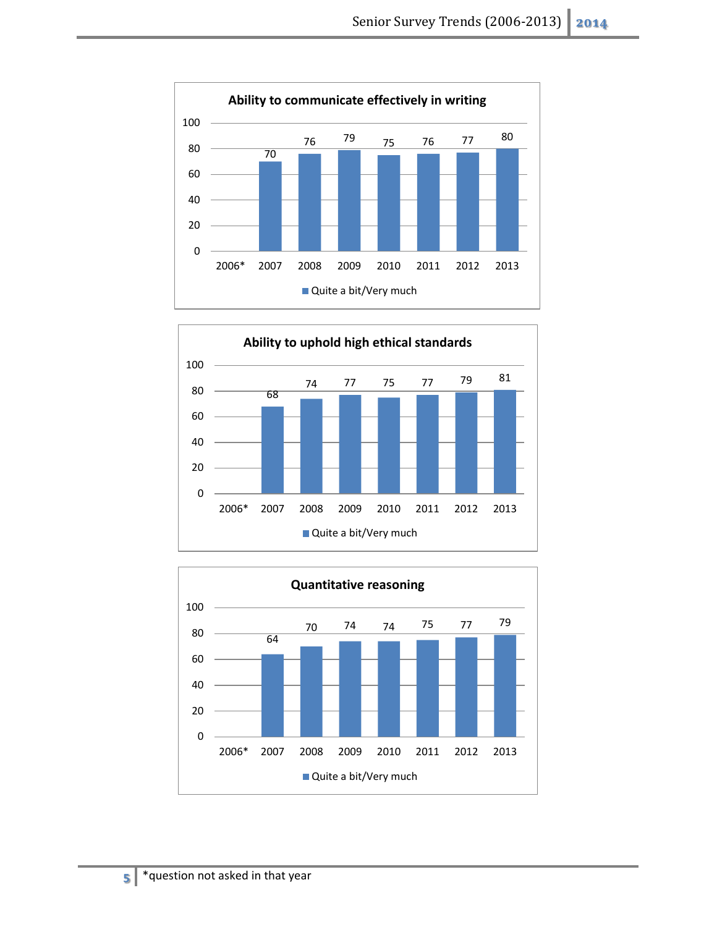



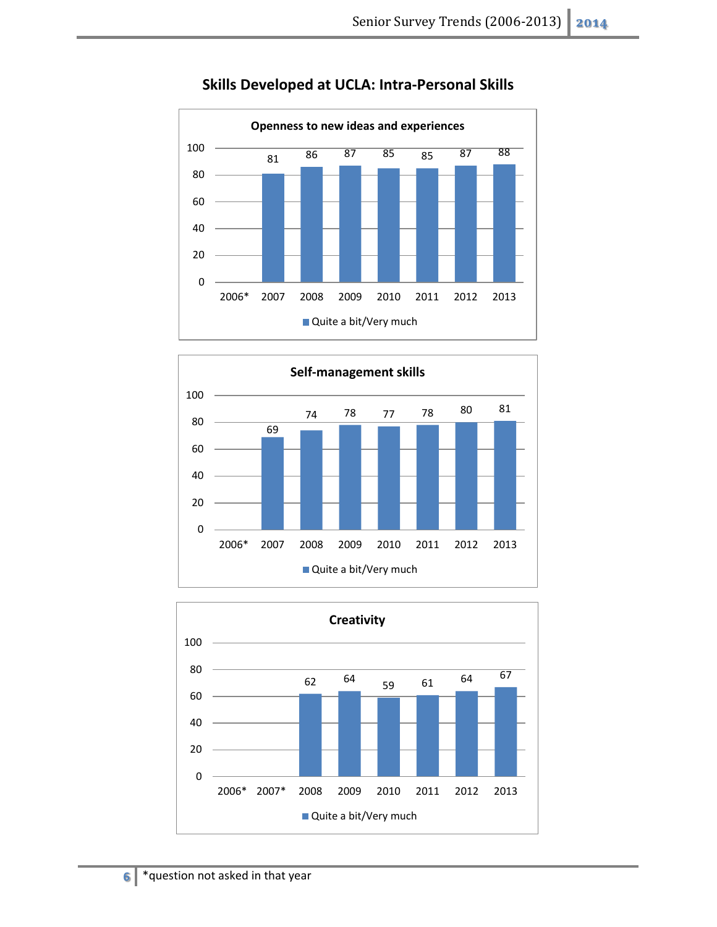

# **Skills Developed at UCLA: Intra-Personal Skills**



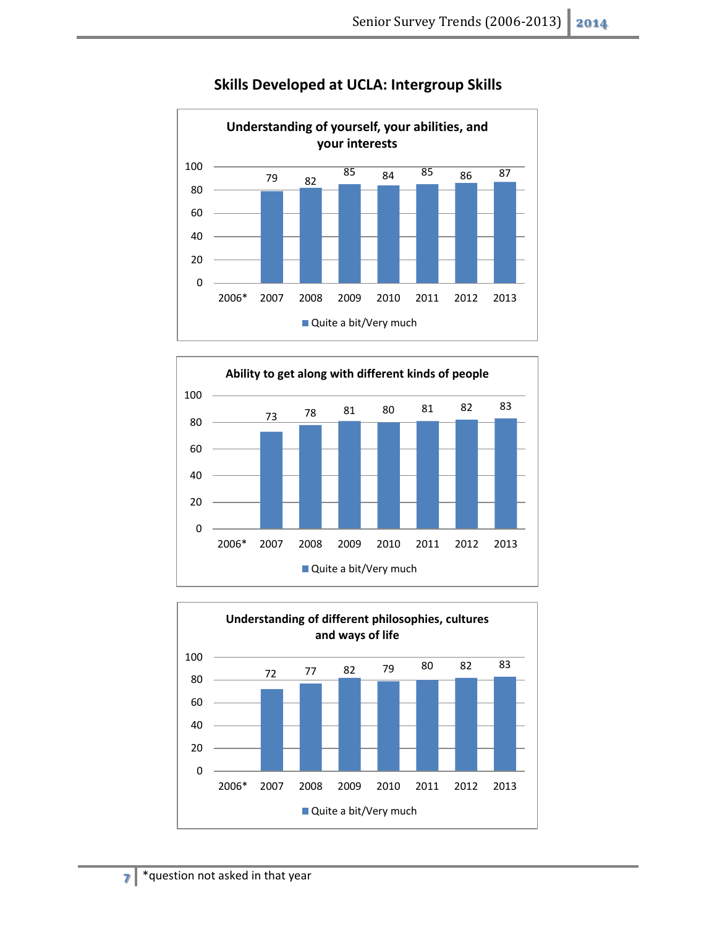

#### **Skills Developed at UCLA: Intergroup Skills**



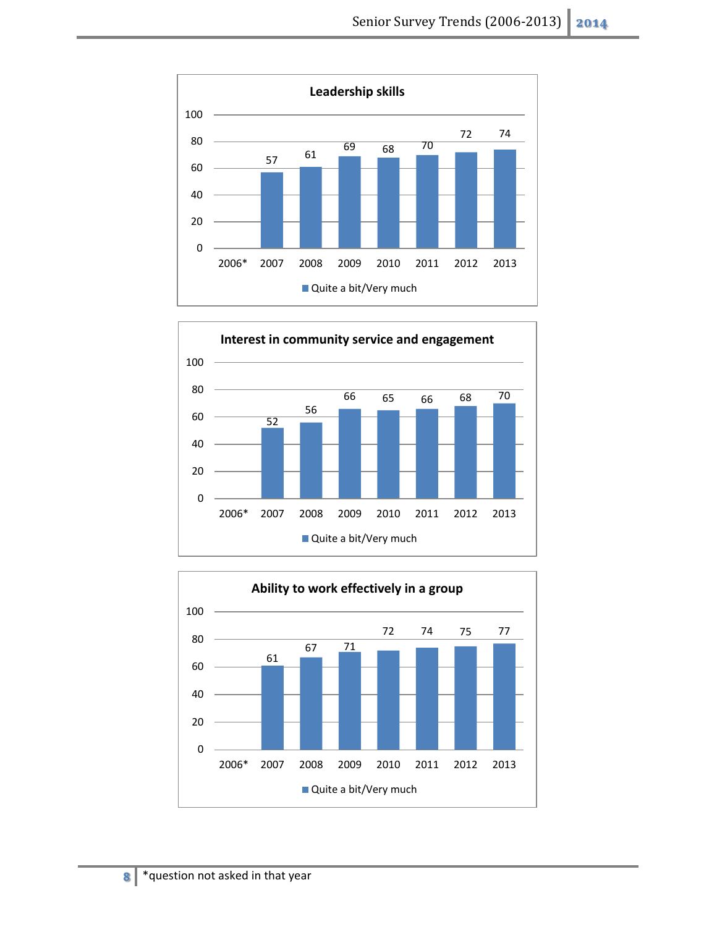



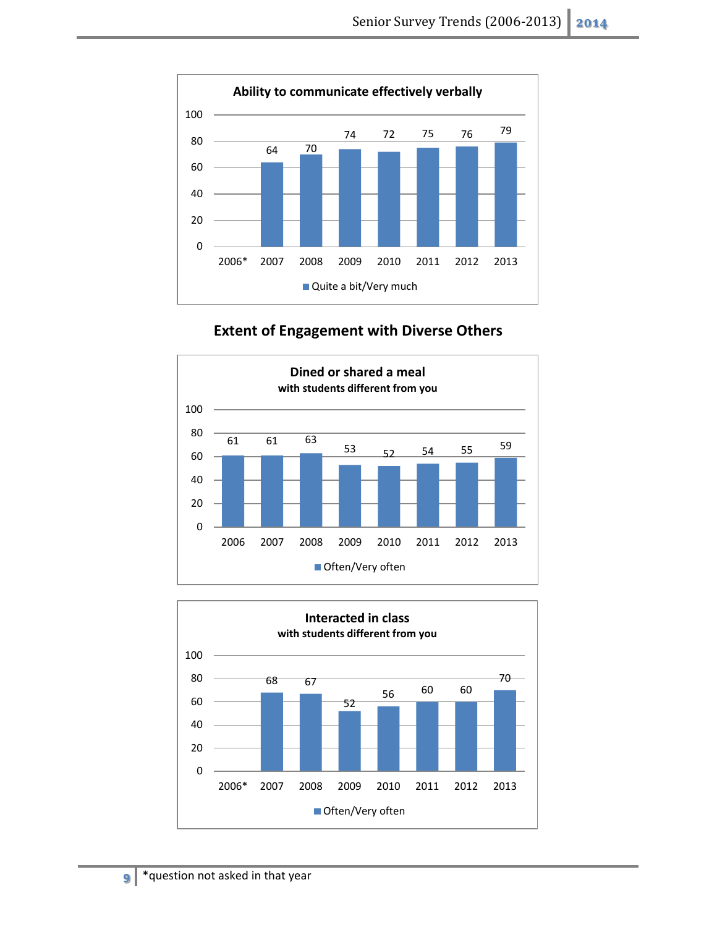

# **Extent of Engagement with Diverse Others**



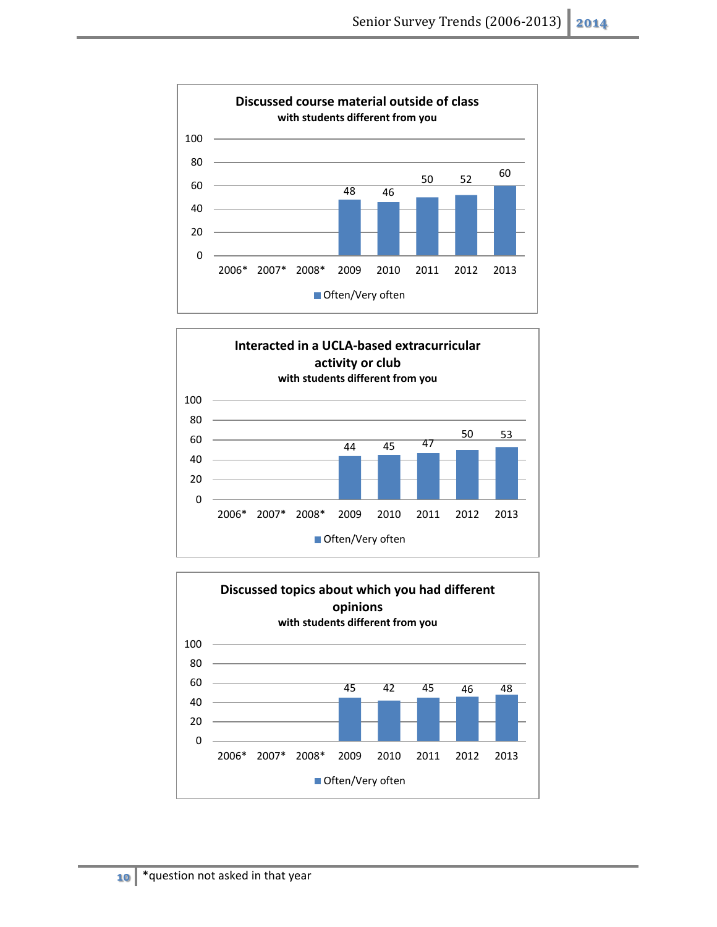



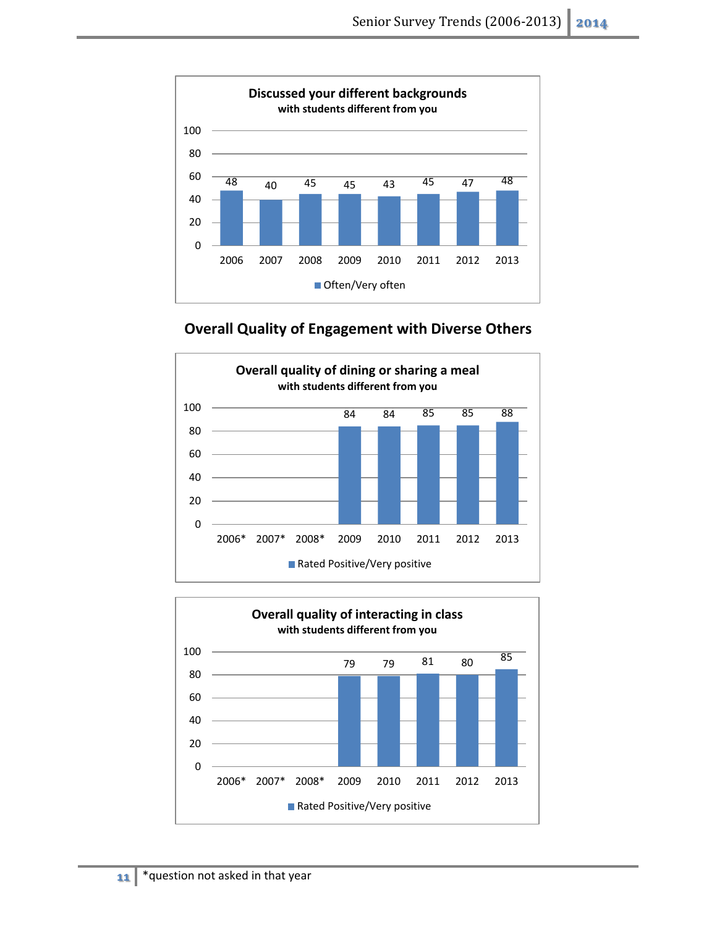

**Overall Quality of Engagement with Diverse Others**



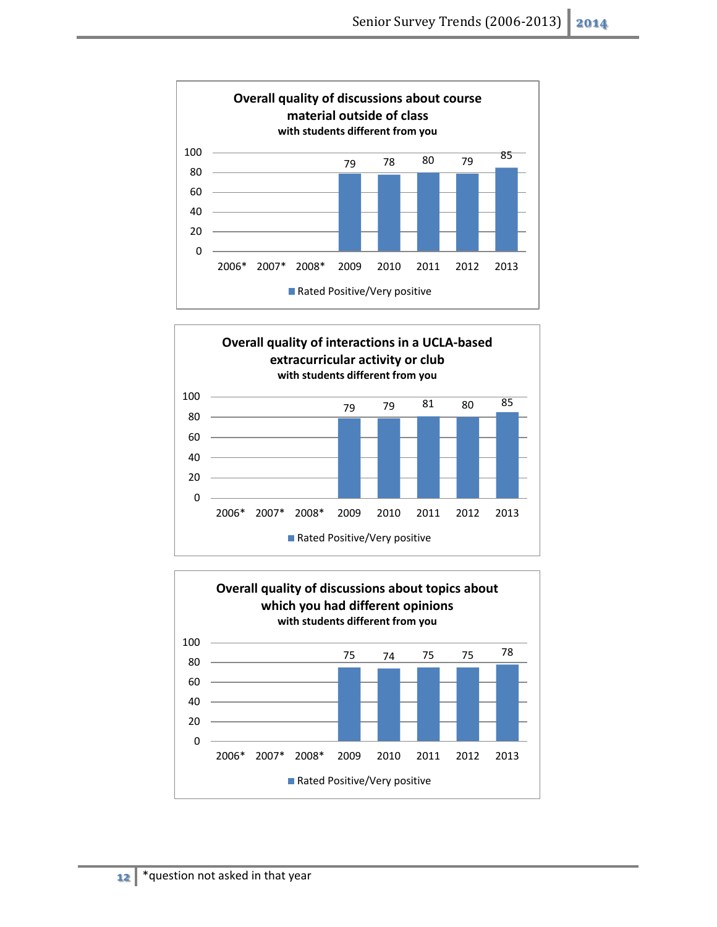



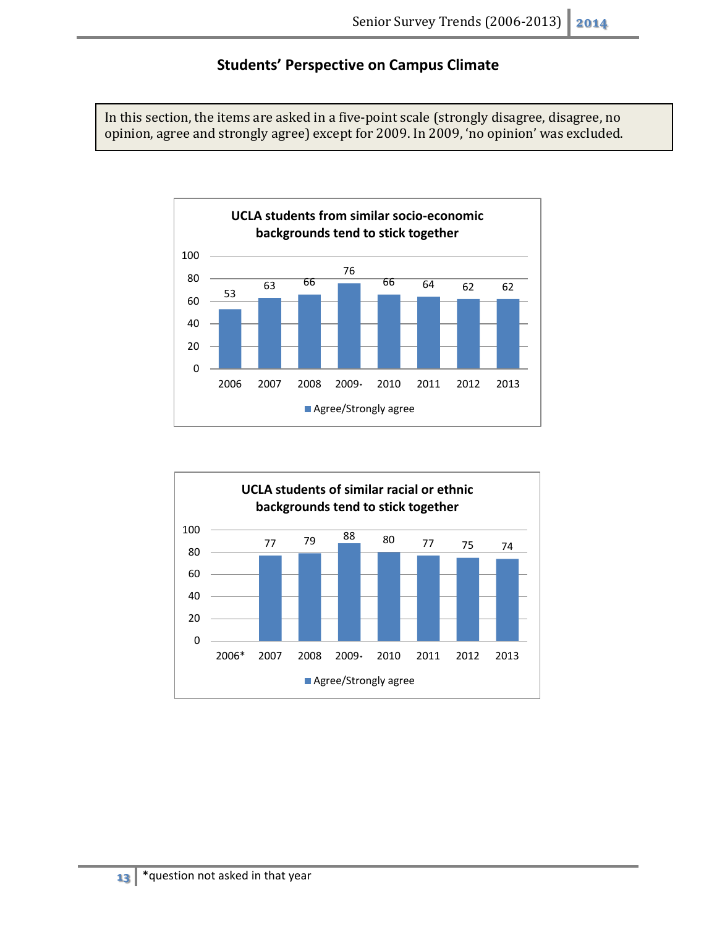**Students' Perspective on Campus Climate**

In this section, the items are asked in a five-point scale (strongly disagree, disagree, no opinion, agree and strongly agree) except for 2009. In 2009, 'no opinion' was excluded.



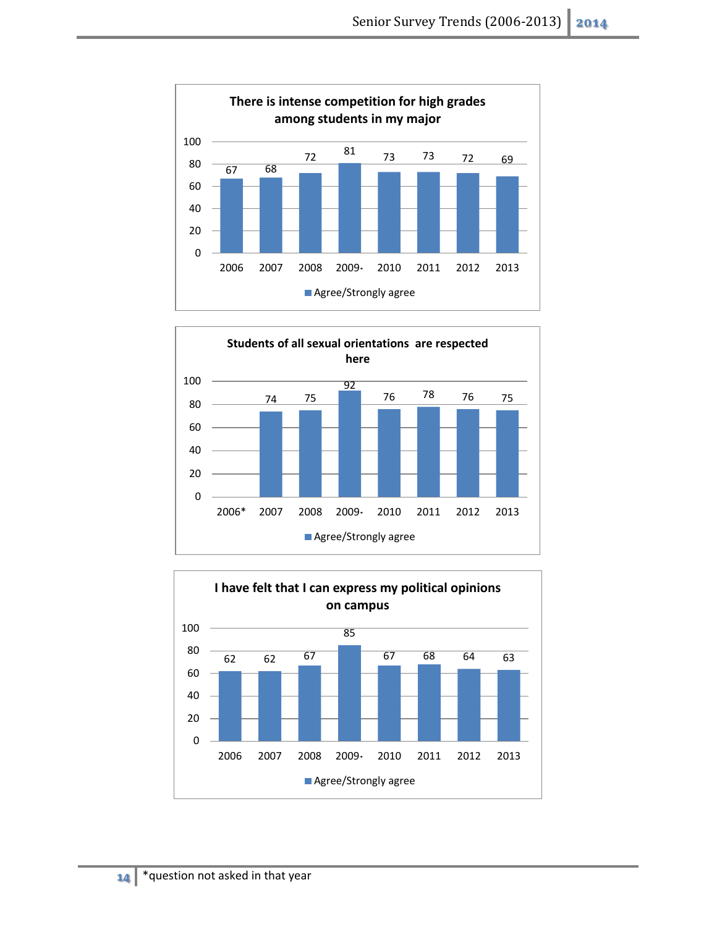